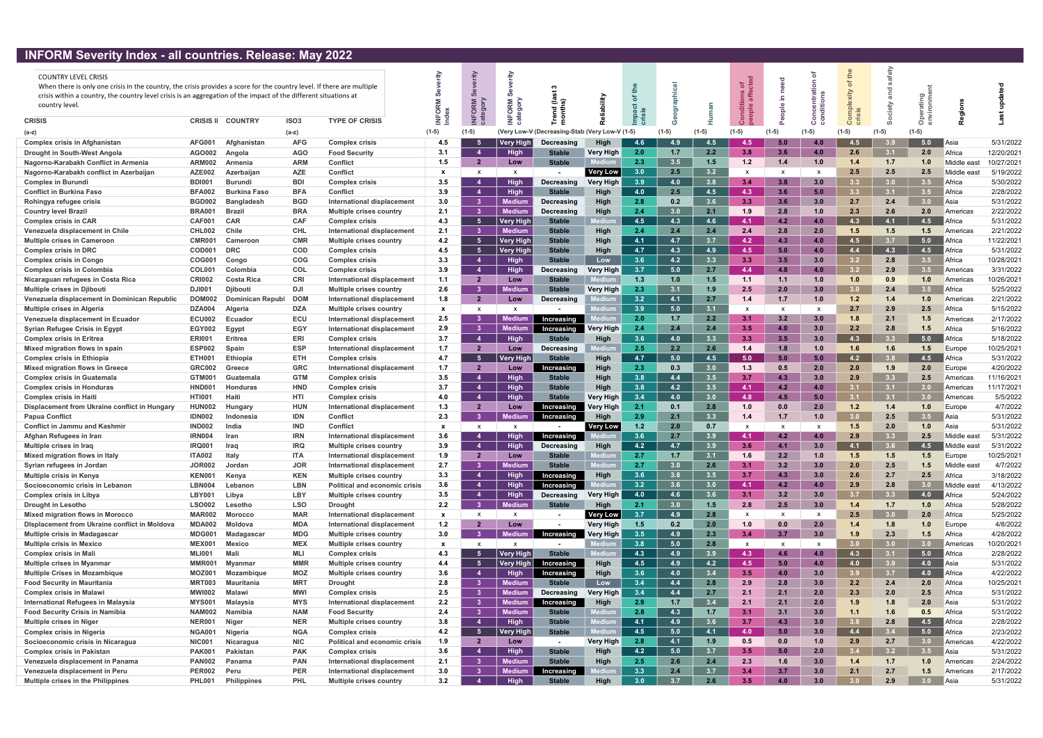## INFORM Severity Index - all countries. Release: May 2022

| <b>IN SIM SCYCING INGCA</b>                                                                                            |                                | an countinos. Refease, may form |                          |                                                                     |                     |                           |                                |                                                |                  |            |            |            |              |                  |            |                         |                  |                  |                    |                        |
|------------------------------------------------------------------------------------------------------------------------|--------------------------------|---------------------------------|--------------------------|---------------------------------------------------------------------|---------------------|---------------------------|--------------------------------|------------------------------------------------|------------------|------------|------------|------------|--------------|------------------|------------|-------------------------|------------------|------------------|--------------------|------------------------|
| <b>COUNTRY LEVEL CRISIS</b>                                                                                            |                                |                                 |                          |                                                                     |                     |                           |                                |                                                |                  |            |            |            |              |                  |            |                         | ு                |                  |                    |                        |
| When there is only one crisis in the country, the crisis provides a score for the country level. If there are multiple |                                |                                 |                          |                                                                     |                     |                           |                                |                                                |                  |            |            |            | ಕ ಕೆ         |                  |            |                         |                  |                  |                    |                        |
| crisis within a country, the country level crisis is an aggregation of the impact of the different situations at       |                                |                                 |                          |                                                                     |                     |                           |                                |                                                |                  |            |            |            |              |                  |            |                         |                  |                  |                    |                        |
| country level.                                                                                                         |                                |                                 |                          |                                                                     |                     |                           | ORM                            | ごの                                             |                  |            |            |            |              | -<br>$rac{e}{2}$ |            |                         |                  |                  |                    |                        |
|                                                                                                                        |                                |                                 |                          |                                                                     | $\circ$             | ក ន                       |                                | <u>후 든</u>                                     |                  |            |            |            |              |                  |            |                         |                  |                  |                    |                        |
| <b>CRISIS</b>                                                                                                          | <b>CRISIS II</b>               | <b>COUNTRY</b>                  | ISO <sub>3</sub>         | <b>TYPE OF CRISIS</b>                                               |                     |                           |                                |                                                |                  |            |            |            |              |                  |            |                         |                  | O                |                    |                        |
| (a-z)                                                                                                                  |                                |                                 | $(a-z)$                  |                                                                     | $(1-5)$             | $(1-5)$                   |                                | (Very Low-V (Decreasing-Stab (Very Low-V (1-5) |                  |            |            |            |              |                  | $(1-5)$    | $(1-5)$                 |                  |                  |                    |                        |
| <b>Complex crisis in Afghanistan</b>                                                                                   | <b>AFG001</b>                  | Afghanistan                     | <b>AFG</b>               | <b>Complex crisis</b>                                               | 4.5                 |                           | <b>Very High</b>               | Decreasing                                     | <b>High</b>      | 4.6        | 4.9        | 4.5        | 4 5          |                  | 4.0        | 4.5                     |                  | 5.0              | Asia               | 5/31/2022              |
| Drought in South-West Angola                                                                                           | AGO002                         | Angola                          | <b>AGO</b>               | <b>Food Security</b>                                                | 3.1                 |                           | <b>High</b>                    | <b>Stable</b>                                  | Very High        | 2.0        | 1.7        | 2.2        | 3.8          | 3.6              | 4.0        | 2.6                     | 3.1              | 2.0              | Africa             | 12/20/2021             |
| Nagorno-Karabakh Conflict in Armenia                                                                                   | <b>ARM002</b>                  | Armenia                         | <b>ARM</b>               | <b>Conflict</b>                                                     | 1.5                 | $\overline{2}$            | Low                            | <b>Stable</b>                                  |                  | 2.3        | 3.5        | 1.5        | 1.2          | 1.4              | 1.0        | 1.4                     | 1.7              | 1.0              | Middle eas         | 10/27/2021             |
| Nagorno-Karabakh conflict in Azerbaijan                                                                                | <b>AZE002</b>                  | Azerbaijan                      | <b>AZE</b>               | <b>Conflict</b>                                                     | $\mathbf{x}$        | $\mathbf{x}$              | $\mathsf{x}$                   |                                                | <b>Very Low</b>  | 3.0        | 2.5        | 3.2        | $\mathsf{x}$ |                  | X          | 2.5                     | 2.5              | 2.5              | Middle eas         | 5/19/2022              |
| <b>Complex in Burundi</b>                                                                                              | BDI00                          | Burundi                         | <b>BDI</b>               | <b>Complex crisis</b>                                               | 3.5                 |                           | <b>High</b>                    | Decreasing                                     | <b>Very High</b> | 3.9        | 4.0        | 3.8        | 3.4          | 3.8              | 3.0        | 3.3 <sub>1</sub>        | 3.0              | 3.5              | Africa             | 5/30/2022              |
| <b>Conflict in Burkina Faso</b>                                                                                        | <b>BFA002</b>                  | <b>Burkina Faso</b>             | <b>BFA</b>               | <b>Conflict</b>                                                     | 3.9                 | $\boldsymbol{A}$          | <b>High</b>                    | <b>Stable</b>                                  | High             | 4.0        | 2.5        | 4.5        | 4.3          | 3.6              | 5.0        | 3.3 <sub>1</sub>        | 3.1              | 3.5              | Africa             | 2/28/2022              |
| Rohingya refugee crisis                                                                                                | <b>BGD002</b>                  | <b>Bangladesh</b>               | <b>BGD</b>               | <b>International displacement</b>                                   | 3.0                 | -3                        | Medium                         | Decreasing                                     | <b>High</b>      | 2.8        | 0.2        | 3.6        | 3.3          | 3.6              | 3.0        | 2.7                     | 2.4              | 3.0 <sub>1</sub> | Asia               | 5/31/2022              |
| <b>Country level Brazil</b>                                                                                            | <b>BRA001</b>                  | Brazi                           | <b>BRA</b>               | <b>Multiple crises country</b>                                      | 2.1                 | -3                        | Medium                         | Decreasing                                     | <b>High</b>      | 2.4        | 3.0        | 2.1        | 1.9          | 2.8              | 1.0        | 2.3                     | 2.6              | 2.0              | Americas           | 2/22/2022              |
| <b>Complex crisis in CAR</b>                                                                                           | <b>CAF001</b>                  | <b>CAR</b>                      | <b>CAF</b>               | <b>Complex crisis</b>                                               | 4.3                 | - 5                       | ∣ Very Higl                    | <b>Stable</b>                                  |                  | 4.5        | 4.3        | 4.6        | 4.1          | 4.2              | 4.0        | 4.3                     | 4.1              | 4.5              | Africa             | 5/31/2022              |
| Venezuela displacement in Chile                                                                                        | CHL002                         | Chile                           | <b>CHL</b>               | International displacement                                          | 2.1                 | -3                        | <b>Medium</b>                  | <b>Stable</b>                                  | High             | 2.4        | 2.4        | 2.4        | 2.4          | 2.8              | 2.0        | 1.5                     | 1.5              | 1.5              | Americas           | 2/21/2022              |
| <b>Multiple crises in Cameroon</b>                                                                                     | <b>CMR00</b>                   | Cameroon                        | <b>CMR</b>               | <b>Multiple crises country</b>                                      | 4.2                 | - 5                       | Very High                      | <b>Stable</b>                                  | High             | 4.1        | 4.7        | 3.7        | 4.2          | 4.3              | 4.0        | 4.5                     | 3.7              | 5.0              | Africa             | 11/22/2021             |
| <b>Complex crisis in DRC</b>                                                                                           | COD00                          | <b>DRC</b>                      | <b>COD</b>               | <b>Complex crisis</b>                                               | 4.5                 | - 5                       | <b>Very High</b>               | <b>Stable</b>                                  | High             | 4.7        | 4.3        | 4.9        | 4.5          | 5.0              | 4.0        | 4.4                     | 4.3              | 4.5              | Africa             | 5/31/2022              |
| <b>Complex crisis in Congo</b>                                                                                         | COG001                         | Congo                           | <b>COG</b>               | <b>Complex crisis</b>                                               | 3.3                 | Δ                         | <b>High</b>                    | <b>Stable</b>                                  | Low              | 3.6        | 4.2        | 3.3        | 3.3          | 3.5              | 3.0        | 3.2 <sub>2</sub>        | 2.8              | 3.5              | Africa             | 10/28/2021             |
| <b>Complex crisis in Colombia</b>                                                                                      | <b>COL001</b>                  | Colombia                        | <b>COL</b>               | <b>Complex crisis</b>                                               | 3.9                 |                           | <b>High</b>                    | Decreasing                                     | <b>Very High</b> | 3.7        | 5.0        | 2.7        | 4.4          | 4.8              | 4.0        | 3.2 <sub>1</sub>        | 2.9              | 3.5              | Americas           | 3/31/2022              |
| Nicaraguan refugees in Costa Rica                                                                                      | <b>CRI002</b>                  | <b>Costa Rica</b>               | <b>CRI</b>               | International displacement                                          | 1.1                 | 2                         | Low                            | <b>Stable</b>                                  |                  | 1.3        | 1.0        | 1.5        | 1.1          | 1.1              | 1.0        | 1.0                     | 0.9              | 1.0              | Americas           | 10/26/2021             |
| <b>Multiple crises in Djibouti</b>                                                                                     | DJI00<br><b>DOM002</b>         | <b>Diibout</b>                  | <b>DJI</b><br><b>DOM</b> | Multiple crises country                                             | 2.6<br>1.8          | -3<br>$\overline{2}$      | ledium<br>Low                  | <b>Stable</b>                                  | <b>Verv Hiah</b> | 2.3<br>3.2 | 3.1<br>4.1 | 1.9<br>2.7 | 2.5<br>1.4   | 2.0<br>1.7       | 3.0<br>1.0 | 3.0 <sub>1</sub><br>1.2 | 2.4<br>1.4       | 3.5<br>1.0       | Africa<br>Americas | 5/25/2022<br>2/21/2022 |
| Venezuela displacement in Dominican Republic<br><b>Multiple crises in Algeria</b>                                      |                                | Dominican Republ                |                          | International displacement                                          |                     | x                         |                                | Decreasing                                     |                  | 3.9        | 5.0        | 3.1        |              |                  |            | 2.7                     | 2.9              | 2.5              | Africa             | 5/15/2022              |
| Venezuela displacement in Ecuador                                                                                      | <b>DZA004</b><br><b>ECU002</b> | Algeria<br>Ecuador              | <b>DZA</b><br>ECU        | <b>Multiple crises country</b><br><b>International displacement</b> | $\mathbf{x}$<br>2.5 | -3                        | Medium                         | Increasing                                     |                  | 2.0        | 1.7        | 2.2        | X<br>3.1     | 3.2              | 3.0        | 1.8                     | 2.1              | $1.5$            | Americas           | 2/17/2022              |
| <b>Syrian Refugee Crisis in Egypt</b>                                                                                  | <b>EGY002</b>                  | Egypt                           | <b>EGY</b>               | International displacement                                          | 2.9                 | -3                        | Medium                         | Increasing                                     | <b>Verv High</b> | 2.4        | 2.4        | 2.4        | 3.5          | 4.0              | 3.0        | 2.2                     | 2.8              | 1.5              | Africa             | 5/16/2022              |
| <b>Complex crisis in Eritrea</b>                                                                                       | <b>ERI001</b>                  | Eritrea                         | <b>ERI</b>               | <b>Complex crisis</b>                                               | 3.7                 | Δ                         | <b>High</b>                    | <b>Stable</b>                                  | High             | 3.6        | 4.0        | 3.3        | 3.3          | 3.5              | 3.0        | 4.3                     | 3.3              | 5.0              | Africa             | 5/18/2022              |
| Mixed migration flows in spain                                                                                         | <b>ESP002</b>                  | Spain                           | <b>ESP</b>               | International displacement                                          | 1.7                 | $\mathbf{2}$              | Low                            | Decreasing                                     |                  | 2.5        | 2.2        | 2.6        | 1.4          | 1.8              | 1.0        | 1.6                     | 1.6              | 1.5              | Europe             | 10/25/2021             |
| <b>Complex crisis in Ethiopia</b>                                                                                      | ETH00                          | Ethiopia                        | <b>ETH</b>               | <b>Complex crisis</b>                                               | 4.7                 | -5                        | Very Higl                      | <b>Stable</b>                                  | High             | 4.7        | 5.0        | 4.5        | 5.0          | 5.0              | 5.0        | 4.2                     | <b>3.8</b>       | 4.5              | Africa             | 5/31/2022              |
| <b>Mixed migration flows in Greece</b>                                                                                 | <b>GRC002</b>                  | Greece                          | <b>GRC</b>               | International displacement                                          | 1.7                 | $\overline{2}$            | Low                            | Increasing                                     | High             | 2.3        | 0.3        | 3.0        | 1.3          | 0.5              | 2.0        | 2.0                     | 1.9              | 2.0              | Europe             | 4/20/2022              |
| <b>Complex crisis in Guatemala</b>                                                                                     | <b>GTM001</b>                  | Guatemala                       | <b>GTM</b>               | <b>Complex crisis</b>                                               | 3.5                 | $\boldsymbol{A}$          | <b>High</b>                    | <b>Stable</b>                                  | High             | 3.8        | 4.4        | 3.5        | 3.7          | 4.3              | 3.0        | 2.9                     | 3.3              | 2.5              | Americas           | 11/16/2021             |
| <b>Complex crisis in Honduras</b>                                                                                      | HND00                          | <b>Honduras</b>                 | <b>HND</b>               | <b>Complex crisis</b>                                               | 3.7                 | -4                        | High                           | <b>Stable</b>                                  | High             | 3.8        | 4.2        | 3.5        | 4.1          | 4.2              | 4.0        | 3.1                     | 3.1              | 3.0              | Americas           | 11/17/2021             |
| <b>Complex crisis in Haiti</b>                                                                                         | HTI00                          | Haiti                           | <b>HTI</b>               | <b>Complex crisis</b>                                               | 4.0                 | -4                        | <b>High</b>                    | <b>Stable</b>                                  | Verv Hiah        | 3.4        | 4.0        | 3.0        | 4.8          | 4.5              | 5.0        | <b>31</b>               | 3.1              | 3.0              | Americas           | 5/5/2022               |
| Displacement from Ukraine conflict in Hungary                                                                          | <b>HUN002</b>                  | Hungary                         | <b>HUN</b>               | International displacement                                          | 1.3                 | $\overline{2}$            | Low                            | Increasing                                     | Very High        | 2.1        | 0.1        | 2.8        | 1.0          | 0.0              | 2.0        | 1.2                     | 1.4              | 1.0              | Europe             | 4/7/2022               |
| <b>Papua Conflict</b>                                                                                                  | <b>IDN002</b>                  | Indonesia                       | <b>IDN</b>               | Conflict                                                            | 2.3                 | -3                        | Medium                         | Increasing                                     | High             | 2.9        | 2.1        | 3.3        | 1.4          | 1.7              | 1.0        | 3.0 <sub>1</sub>        | 2.5              | 3.5              | Asia               | 5/31/2022              |
| <b>Conflict in Jammu and Kashmir</b>                                                                                   | <b>IND002</b>                  | India                           | <b>IND</b>               | Confiict                                                            | $\mathbf{x}$        | $\boldsymbol{\mathsf{x}}$ |                                |                                                | <b>Very Low</b>  | $1.2$      | 2.0        | 0.7        | X            |                  |            | 1.5                     | 2.0              | 1.0              | Asia               | 5/31/2022              |
| Afghan Refugees in Iran                                                                                                | <b>IRN004</b>                  | <b>Iran</b>                     | <b>IRN</b>               | International displacement                                          | 3.6                 |                           | Hiah                           | Increasing                                     |                  | 3.6        | 2.7        | 3.9        | 4.1          | 4.2              | 4.0        | 2.9                     | 3.3 <sup>°</sup> | 2.5              | Middle east        | 5/31/2022              |
| Multiple crises in Iraq                                                                                                | <b>IRQ001</b>                  | <b>Irao</b>                     | <b>IRQ</b>               | <b>Multiple crises country</b>                                      | 3.9                 | $\boldsymbol{\Lambda}$    | <b>High</b>                    | Decreasing                                     | High             | 4.2        | 4.7        | 3.9        | 3.6          | 4.1              | 3.0        | 4.1                     | 3.6              | 4.5              | Middle eas         | 5/31/2022              |
| Mixed migration flows in Italy                                                                                         | <b>ITA002</b>                  | Italy                           | <b>ITA</b>               | International displacement                                          | 1.9                 | 2                         | Low                            | <b>Stable</b>                                  | Medium           | 2.7        | 1.7        | 3.1        | 1.6          | 2.2              | 1.0        | 1.5                     | 1.5              | 1.5              | Europe             | 10/25/2021             |
| Syrian refugees in Jordan                                                                                              | <b>JOR002</b>                  | Jordan                          | <b>JOR</b>               | International displacement                                          | 2.7                 | -3                        | Medium                         | <b>Stable</b>                                  | Medium           | 2.7        | 3.0        | 2.6        | 3.1          | 3.2              | 3.0        | 2.0                     | 2.5              | 1.5              | Middle east        | 4/7/2022               |
| <b>Multiple crisis in Kenya</b>                                                                                        | <b>KEN001</b>                  | Kenya                           | <b>KEN</b>               | <b>Multiple crises country</b>                                      | 3.3                 |                           | <b>High</b>                    | Increasing                                     | High             | 3.6        | 3.8        | 3.5        | 3.7          | 4.3              | 3.0        | 2.6                     | 2.7              | 2.5              | Africa             | 3/18/2022              |
| Socioeconomic crisis in Lebanon                                                                                        | <b>LBN004</b>                  | Lebanon                         | <b>LBN</b>               | <b>Political and economic crisis</b>                                | 3.6                 |                           | <b>High</b>                    | Increasing                                     |                  | 3.2        | 3.6        | 3.0        | 4.1          | 4.2              | 4.0        | 2.9                     | 2.8              | 3.0              | Middle east        | 4/13/2022              |
| <b>Complex crisis in Libya</b>                                                                                         | <b>LBY001</b>                  | Libya                           | LBY                      | <b>Multiple crises country</b>                                      | 3.5                 | Δ                         | <b>High</b>                    | Decreasing                                     | <b>Very High</b> | 4.0        | 4.6        | 3.6        | 3.1          | 3.2              | 3.0        | 3.7                     | 3.3              | 4.0              | Africa             | 5/24/2022              |
| <b>Drought in Lesotho</b>                                                                                              | <b>LSO002</b>                  | Lesotho                         | <b>LSO</b>               | <b>Drought</b>                                                      | 2.2                 | - 3                       | <b>Medium</b>                  | <b>Stable</b>                                  | <b>High</b>      | 2.1        | 3.0        | 1.5        | 2.8          | 2.5              | 3.0        | 1.4                     | 1.7              | 1.0              | Africa             | 5/28/2022              |
| <b>Mixed migration flows in Morocco</b>                                                                                | <b>MAR002</b>                  | <b>Morocco</b>                  | <b>MAR</b>               | International displacement                                          | $\mathbf{x}$        | $\boldsymbol{\mathsf{x}}$ | X                              |                                                | Very Low         | 3.7        | 4.9        | 2.8        | X            |                  | X          | 2.5                     | 3.0              | 2.0              | Africa             | 5/25/2022              |
| <b>Displacement from Ukraine conflict in Moldova</b>                                                                   | <b>MDA002</b>                  | Moldova                         | <b>MDA</b>               | International displacement                                          | 1.2                 | 2                         | Low                            | $\blacksquare$                                 | <b>Very High</b> | 1.5        | 0.2        | 2.0        | 1.0          | 0.0              | 2.0        | 1.4                     | 1.8              | 1.0              | Europe             | 4/8/2022               |
| <b>Multiple crisis in Madagascar</b>                                                                                   | <b>MDG001</b>                  | Madagascar                      | <b>MDG</b>               | <b>Multiple crises country</b>                                      | 3.0                 | - 3                       | Medium                         | Increasing                                     | <b>Very High</b> | 3.5        | 4.9        | 2.3        | 3.4          | 3.7              | 3.0        | 1.9                     | 2.3              | 1.5              | Africa             | 4/28/2022              |
| <b>Multiple crisis in Mexico</b>                                                                                       | <b>MEX001</b>                  | <b>Mexico</b>                   | <b>MEX</b>               | <b>Multiple crises country</b>                                      | $\mathbf{x}$        | $\boldsymbol{\mathsf{x}}$ | $\mathbf{x}$                   | $\blacksquare$                                 |                  | 3.8        | 5.0        | 2.8        | $\mathsf{x}$ | $\mathbf{x}$     | X          | 3.0                     | 3.0              | 3.0              | Americas           | 10/20/2021             |
| <b>Complex crisis in Mali</b>                                                                                          | <b>MLI001</b>                  | Mali                            | MLI                      | <b>Complex crisis</b>                                               | 4.3                 | -5                        | Very High                      | <b>Stable</b>                                  |                  | 4.3        | 4.9        | 3.9        | 4.3          | 4.6              | 4.0        | 4.3                     | 3.1              | 5.0              | Africa             | 2/28/2022              |
| <b>Multiple crises in Myanmar</b>                                                                                      | MMR001                         | <b>Myanmar</b>                  | <b>MMR</b>               | <b>Multiple crises country</b>                                      | 4.4                 | -5                        | $\vert$ Very High $\vert$      | Increasing                                     | High             | 4.5        | 4.9        | 4.2        | 4.5          | 5.0              | 4.0        | 4.0                     | 3.9              | 4.0              | Asia               | 5/31/2022              |
| <b>Multiple Crises in Mozambique</b>                                                                                   | <b>MOZ001</b>                  | Mozambique                      | <b>MOZ</b>               | <b>Multiple crises country</b>                                      | 3.6                 | $\boldsymbol{\Lambda}$    | <b>High</b>                    | Increasing                                     | High             | 3.6        | 4.0        | 3.4        | 3.5          | 4.0              | 3.0        | 3.9 <sup>°</sup>        | 3.7              | 4.0              | Africa             | 4/22/2022              |
| <b>Food Security in Mauritania</b>                                                                                     | <b>MRT003</b><br><b>MWI002</b> | Mauritania                      | <b>MRT</b><br><b>MWI</b> | <b>Drought</b>                                                      | 2.8                 | -3                        | <b>Medium</b>                  | <b>Stable</b>                                  | Low              | 3.4        | 4.4        | 2.8        | 2.9          | 2.8              | 3.0        | 2.2                     | 2.4              | 2.0              | Africa<br>Africa   | 10/25/2021             |
| <b>Complex crisis in Malawi</b>                                                                                        |                                | <b>Malawi</b>                   |                          | <b>Complex crisis</b>                                               | 2.5<br>2.2          | - 3<br>-3                 | <b>Medium</b>                  | Decreasing                                     | Very High        | 3.4<br>2.9 | 4.4<br>1.7 | 2.7<br>3.4 | 2.1<br>2.1   | 2.1<br>2.1       | 2.0<br>2.0 | 2.3<br>1.9              | 2.0<br>1.8       | 2.5<br>2.0       |                    | 5/31/2022              |
| International Refugees in Malaysia<br><b>Food Security Crisis in Namibia</b>                                           | <b>MYS001</b><br><b>NAM002</b> | Malaysia<br>Namibia             | <b>MYS</b><br><b>NAM</b> | International displacement<br><b>Food Security</b>                  | 2.4                 | -3                        | <b>Medium</b><br><b>Medium</b> | Increasing<br><b>Stable</b>                    | High             | 2.8        | 4.3        | 1.7        | 3.1          | 3.1              | 3.0        | 1.1                     | 1.6              | 0.5              | Asia<br>Africa     | 5/31/2022<br>5/31/2022 |
| <b>Multiple crises in Niger</b>                                                                                        | <b>NER001</b>                  | Niger                           | <b>NER</b>               | <b>Multiple crises country</b>                                      | 3.8                 |                           | <b>High</b>                    | <b>Stable</b>                                  | ledium<br>Mediu  | 4.1        | 4.9        | 3.6        | 3.7          | 4.3              | 3.0        | 3.8                     | 2.8              | 4.5              | Africa             | 2/28/2022              |
| <b>Complex crisis in Nigeria</b>                                                                                       | NGA001                         | Nigeria                         | <b>NGA</b>               | Complex crisis                                                      | 4.2                 | -5                        | Very High                      | <b>Stable</b>                                  | Mediu            | 4.5        | 5.0        | 4.1        | 4.0          | 5.0              | 3.0        | 4.4                     | 3.4              | 5.0              | Africa             | 2/23/2022              |
| Socioeconomic crisis in Nicaragua                                                                                      | <b>NIC001</b>                  | Nicaragua                       | <b>NIC</b>               | <b>Political and economic crisis</b>                                | 1.9                 | $\overline{2}$            | Low                            | $\sim$                                         | Very High        | 2.8        | 4.1        | 1.9        | 0.5          | 0.0              | 1.0        | 2.9                     | 2.7              | 3.0 <sub>2</sub> | Americas           | 4/22/2022              |
| <b>Complex crisis in Pakistan</b>                                                                                      | <b>PAK001</b>                  | Pakistan                        | <b>PAK</b>               | <b>Complex crisis</b>                                               | 3.6                 | $\boldsymbol{\Lambda}$    | <b>High</b>                    | <b>Stable</b>                                  | High             | 4.2        | 5.0        | 3.7        | 3.5          | 5.0              | 2.0        | 3.4                     | 3.2              | 3.5              | Asia               | 5/31/2022              |
| Venezuela displacement in Panama                                                                                       | <b>PAN002</b>                  | Panama                          | <b>PAN</b>               | International displacement                                          | 2.1                 | -3                        | <b>Medium</b>                  | <b>Stable</b>                                  | High             | 2.5        | 2.6        | 2.4        | 2.3          | 1.6              | 3.0        | 1.4                     | 1.7              | 1.0              | Americas           | 2/24/2022              |
| Venezuela displacement in Peru                                                                                         | <b>PER002</b>                  | Peru                            | <b>PER</b>               | International displacement                                          | 3.0                 | - 3                       | <b>Medium</b>                  | Increasing                                     |                  | 3.3        | 2.4        | 3.7        | 3.4          | 3.7              | 3.0        | 2.1                     | 2.7              | 1.5              | Americas           | 2/17/2022              |
| <b>Multiple crises in the Philippines</b>                                                                              | <b>PHL001</b>                  | <b>Philippines</b>              | <b>PHL</b>               | Multiple crises country                                             | 3.2                 |                           | <b>High</b>                    | <b>Stable</b>                                  | <b>High</b>      | 3.0        | 3.7        | 2.6        | 3.5          | 4.0              | 3.0        |                         | 2.9              | 3.0              | Asia               | 5/31/2022              |